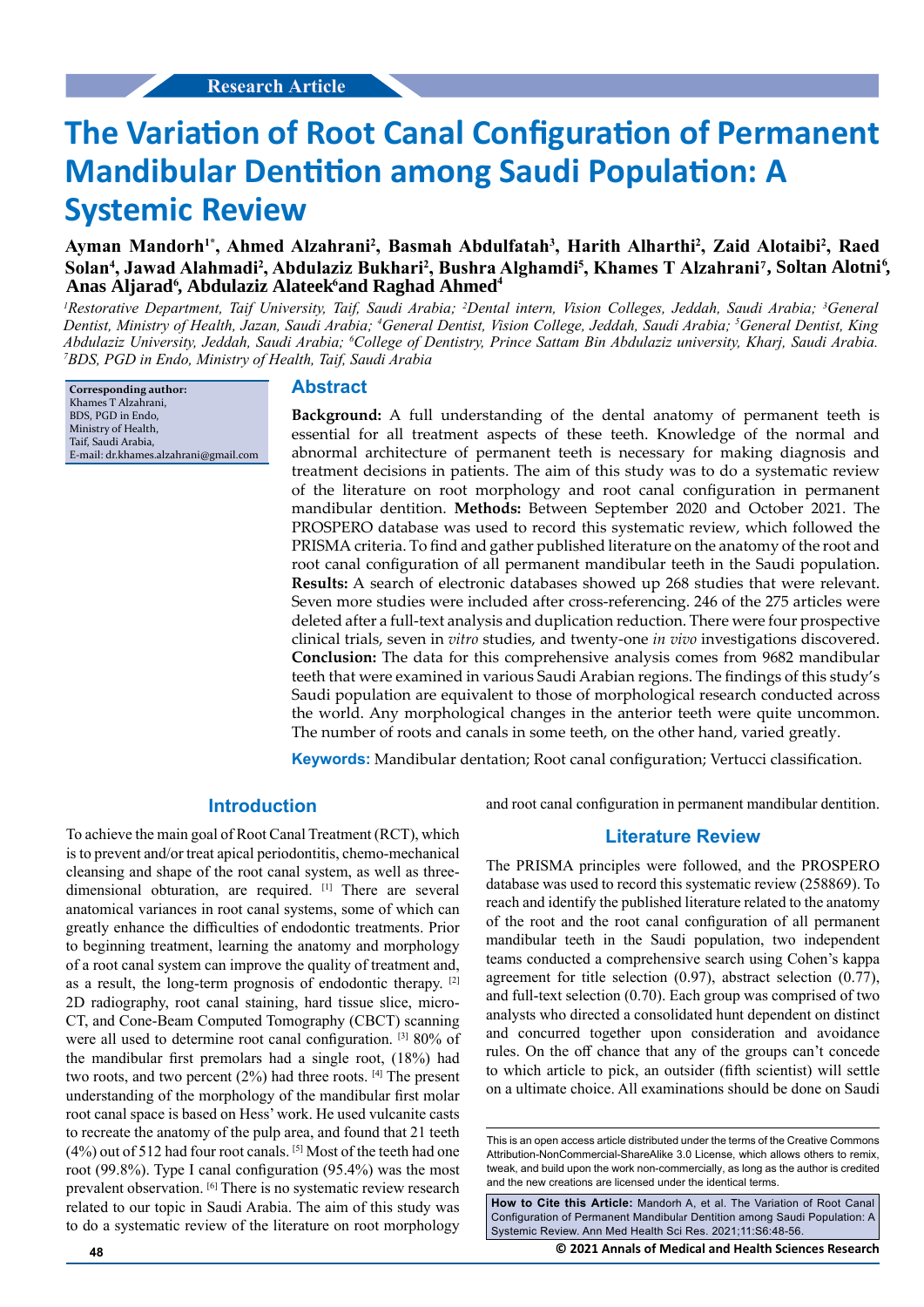# **The Variation of Root Canal Configuration of Permanent Mandibular Dentition among Saudi Population: A Systemic Review**

# Ayman Mandorh<sup>1\*</sup>, Ahmed Alzahrani<sup>2</sup>, Basmah Abdulfatah<sup>3</sup>, Harith Alharthi<sup>2</sup>, Zaid Alotaibi<sup>2</sup>, Raed Solan<sup>4</sup>, Jawad Alahmadi<sup>2</sup>, Abdulaziz Bukhari<sup>2</sup>, Bushra Alghamdi<sup>5</sup>, Khames T Alzahrani<sup>7</sup>, Soltan Alotni<sup>6</sup>, Anas Áljarad<sup>6</sup>, Abdulaziz Alateek<sup>6</sup>and Raghad Ahmed<sup>4</sup>

<sup>*I*</sup>Restorative Department, Taif University, Taif, Saudi Arabia; <sup>2</sup>Dental intern, Vision Colleges, Jeddah, Saudi Arabia; <sup>3</sup>General *Dentist, Ministry of Health, Jazan, Saudi Arabia; 4 General Dentist, Vision College, Jeddah, Saudi Arabia; 5 General Dentist, King*  Abdulaziz University, Jeddah, Saudi Arabia; <sup>6</sup>College of Dentistry, Prince Sattam Bin Abdulaziz university, Kharj, Saudi Arabia.<br><sup>7</sup>RDS, PGD in Endo, Ministry of Health, Taif, Saudi Arabia. *BDS, PGD in Endo, Ministry of Health, Taif, Saudi Arabia*

**Corresponding author:** Khames T Alzahrani, BDS, PGD in Endo, Ministry of Health, Taif, Saudi Arabia, E-mail: dr.khames.alzahrani@gmail.com

#### **Abstract**

**Background:** A full understanding of the dental anatomy of permanent teeth is essential for all treatment aspects of these teeth. Knowledge of the normal and abnormal architecture of permanent teeth is necessary for making diagnosis and treatment decisions in patients. The aim of this study was to do a systematic review of the literature on root morphology and root canal configuration in permanent mandibular dentition. **Methods:** Between September 2020 and October 2021. The PROSPERO database was used to record this systematic review, which followed the PRISMA criteria. To find and gather published literature on the anatomy of the root and root canal configuration of all permanent mandibular teeth in the Saudi population. **Results:** A search of electronic databases showed up 268 studies that were relevant. Seven more studies were included after cross-referencing. 246 of the 275 articles were deleted after a full-text analysis and duplication reduction. There were four prospective clinical trials, seven in *vitro* studies, and twenty-one *in vivo* investigations discovered. **Conclusion:** The data for this comprehensive analysis comes from 9682 mandibular teeth that were examined in various Saudi Arabian regions. The findings of this study's Saudi population are equivalent to those of morphological research conducted across the world. Any morphological changes in the anterior teeth were quite uncommon. The number of roots and canals in some teeth, on the other hand, varied greatly.

**Keywords:** Mandibular dentation; Root canal configuration; Vertucci classification.

## **Introduction**

To achieve the main goal of Root Canal Treatment (RCT), which is to prevent and/or treat apical periodontitis, chemo-mechanical cleansing and shape of the root canal system, as well as threedimensional obturation, are required. [1] There are several anatomical variances in root canal systems, some of which can greatly enhance the difficulties of endodontic treatments. Prior to beginning treatment, learning the anatomy and morphology of a root canal system can improve the quality of treatment and, as a result, the long-term prognosis of endodontic therapy. [2] 2D radiography, root canal staining, hard tissue slice, micro-CT, and Cone-Beam Computed Tomography (CBCT) scanning were all used to determine root canal configuration. [3] 80% of the mandibular first premolars had a single root, (18%) had two roots, and two percent (2%) had three roots. [4] The present understanding of the morphology of the mandibular first molar root canal space is based on Hess' work. He used vulcanite casts to recreate the anatomy of the pulp area, and found that 21 teeth (4%) out of 512 had four root canals. [5] Most of the teeth had one root (99.8%). Type I canal configuration (95.4%) was the most prevalent observation. [6] There is no systematic review research related to our topic in Saudi Arabia. The aim of this study was to do a systematic review of the literature on root morphology

and root canal configuration in permanent mandibular dentition.

#### **Literature Review**

The PRISMA principles were followed, and the PROSPERO database was used to record this systematic review (258869). To reach and identify the published literature related to the anatomy of the root and the root canal configuration of all permanent mandibular teeth in the Saudi population, two independent teams conducted a comprehensive search using Cohen's kappa agreement for title selection (0.97), abstract selection (0.77), and full-text selection (0.70). Each group was comprised of two analysts who directed a consolidated hunt dependent on distinct and concurred together upon consideration and avoidance rules. On the off chance that any of the groups can't concede to which article to pick, an outsider (fifth scientist) will settle on a ultimate choice. All examinations should be done on Saudi

**How to Cite this Article:** Mandorh A, et al. The Variation of Root Canal Configuration of Permanent Mandibular Dentition among Saudi Population: A Systemic Review. Ann Med Health Sci Res. 2021;11:S6:48-56.

**48 © 2021 Annals of Medical and Health Sciences Research** 

This is an open access article distributed under the terms of the Creative Commons Attribution-NonCommercial-ShareAlike 3.0 License, which allows others to remix, tweak, and build upon the work non-commercially, as long as the author is credited and the new creations are licensed under the identical terms.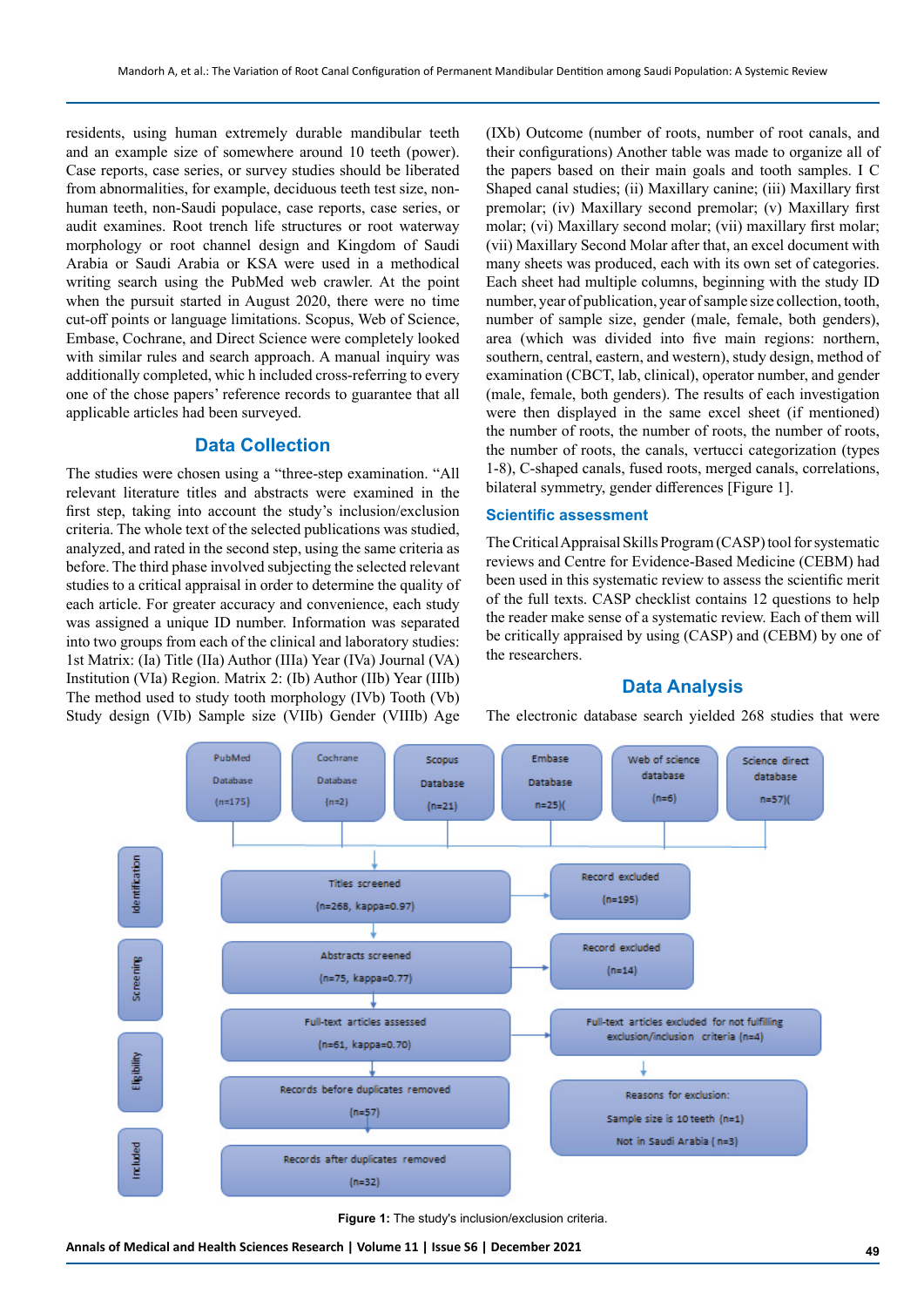residents, using human extremely durable mandibular teeth and an example size of somewhere around 10 teeth (power). Case reports, case series, or survey studies should be liberated from abnormalities, for example, deciduous teeth test size, nonhuman teeth, non-Saudi populace, case reports, case series, or audit examines. Root trench life structures or root waterway morphology or root channel design and Kingdom of Saudi Arabia or Saudi Arabia or KSA were used in a methodical writing search using the PubMed web crawler. At the point when the pursuit started in August 2020, there were no time cut-off points or language limitations. Scopus, Web of Science, Embase, Cochrane, and Direct Science were completely looked with similar rules and search approach. A manual inquiry was additionally completed, whic h included cross-referring to every one of the chose papers' reference records to guarantee that all applicable articles had been surveyed.

## **Data Collection**

The studies were chosen using a "three-step examination. "All relevant literature titles and abstracts were examined in the first step, taking into account the study's inclusion/exclusion criteria. The whole text of the selected publications was studied, analyzed, and rated in the second step, using the same criteria as before. The third phase involved subjecting the selected relevant studies to a critical appraisal in order to determine the quality of each article. For greater accuracy and convenience, each study was assigned a unique ID number. Information was separated into two groups from each of the clinical and laboratory studies: 1st Matrix: (Ia) Title (IIa) Author (IIIa) Year (IVa) Journal (VA) Institution (VIa) Region. Matrix 2: (Ib) Author (IIb) Year (IIIb) The method used to study tooth morphology (IVb) Tooth (Vb) Study design (VIb) Sample size (VIIb) Gender (VIIIb) Age (IXb) Outcome (number of roots, number of root canals, and their configurations) Another table was made to organize all of the papers based on their main goals and tooth samples. I C Shaped canal studies; (ii) Maxillary canine; (iii) Maxillary first premolar; (iv) Maxillary second premolar; (v) Maxillary first molar; (vi) Maxillary second molar; (vii) maxillary first molar; (vii) Maxillary Second Molar after that, an excel document with many sheets was produced, each with its own set of categories. Each sheet had multiple columns, beginning with the study ID number, year of publication, year of sample size collection, tooth, number of sample size, gender (male, female, both genders), area (which was divided into five main regions: northern, southern, central, eastern, and western), study design, method of examination (CBCT, lab, clinical), operator number, and gender (male, female, both genders). The results of each investigation were then displayed in the same excel sheet (if mentioned) the number of roots, the number of roots, the number of roots, the number of roots, the canals, vertucci categorization (types 1-8), C-shaped canals, fused roots, merged canals, correlations, bilateral symmetry, gender differences [Figure 1].

#### **Scientific assessment**

The Critical Appraisal Skills Program (CASP) tool for systematic reviews and Centre for Evidence-Based Medicine (CEBM) had been used in this systematic review to assess the scientific merit of the full texts. CASP checklist contains 12 questions to help the reader make sense of a systematic review. Each of them will be critically appraised by using (CASP) and (CEBM) by one of the researchers.

# **Data Analysis**

The electronic database search yielded 268 studies that were



**Figure 1:** The study's inclusion/exclusion criteria.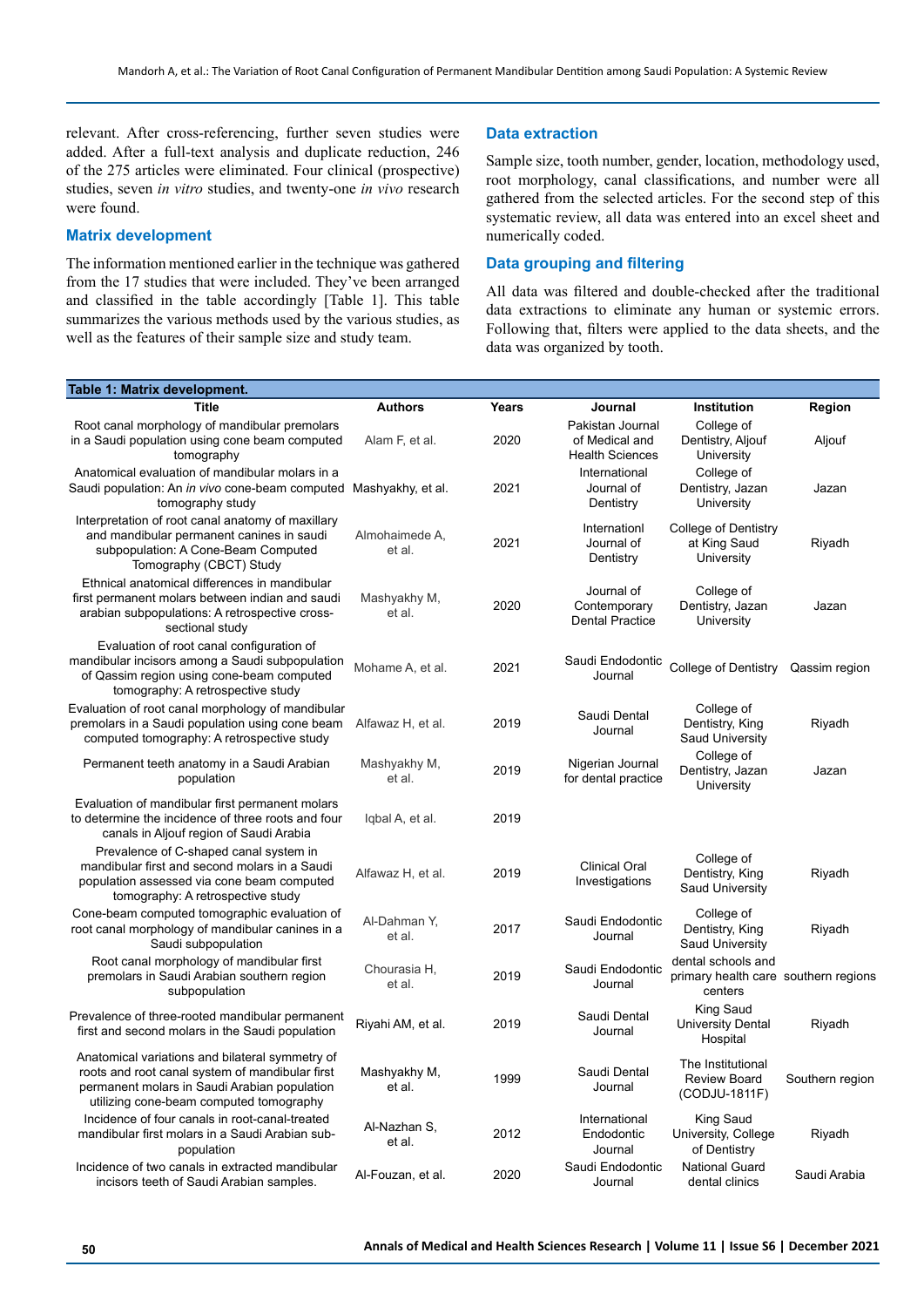relevant. After cross-referencing, further seven studies were added. After a full-text analysis and duplicate reduction, 246 of the 275 articles were eliminated. Four clinical (prospective) studies, seven *in vitro* studies, and twenty-one *in vivo* research were found.

#### **Matrix development**

The information mentioned earlier in the technique was gathered from the 17 studies that were included. They've been arranged and classified in the table accordingly [Table 1]. This table summarizes the various methods used by the various studies, as well as the features of their sample size and study team.

## **Data extraction**

Sample size, tooth number, gender, location, methodology used, root morphology, canal classifications, and number were all gathered from the selected articles. For the second step of this systematic review, all data was entered into an excel sheet and numerically coded.

#### **Data grouping and filtering**

All data was filtered and double-checked after the traditional data extractions to eliminate any human or systemic errors. Following that, filters were applied to the data sheets, and the data was organized by tooth.

| Table 1: Matrix development.                                                                                                                                                                  |                          |       |                                                              |                                                                       |                 |
|-----------------------------------------------------------------------------------------------------------------------------------------------------------------------------------------------|--------------------------|-------|--------------------------------------------------------------|-----------------------------------------------------------------------|-----------------|
| <b>Title</b>                                                                                                                                                                                  | <b>Authors</b>           | Years | Journal                                                      | <b>Institution</b>                                                    | Region          |
| Root canal morphology of mandibular premolars<br>in a Saudi population using cone beam computed<br>tomography                                                                                 | Alam F, et al.           | 2020  | Pakistan Journal<br>of Medical and<br><b>Health Sciences</b> | College of<br>Dentistry, Aljouf<br>University                         | Aljouf          |
| Anatomical evaluation of mandibular molars in a<br>Saudi population: An <i>in vivo</i> cone-beam computed Mashyakhy, et al.<br>tomography study                                               |                          | 2021  | International<br>Journal of<br>Dentistry                     | College of<br>Dentistry, Jazan<br>University                          | Jazan           |
| Interpretation of root canal anatomy of maxillary<br>and mandibular permanent canines in saudi<br>subpopulation: A Cone-Beam Computed<br>Tomography (CBCT) Study                              | Almohaimede A,<br>et al. | 2021  | Internationl<br>Journal of<br>Dentistry                      | College of Dentistry<br>at King Saud<br>University                    | Riyadh          |
| Ethnical anatomical differences in mandibular<br>first permanent molars between indian and saudi<br>arabian subpopulations: A retrospective cross-<br>sectional study                         | Mashyakhy M,<br>et al.   | 2020  | Journal of<br>Contemporary<br><b>Dental Practice</b>         | College of<br>Dentistry, Jazan<br>University                          | Jazan           |
| Evaluation of root canal configuration of<br>mandibular incisors among a Saudi subpopulation<br>of Qassim region using cone-beam computed<br>tomography: A retrospective study                | Mohame A, et al.         | 2021  | Saudi Endodontic<br>Journal                                  | College of Dentistry                                                  | Qassim region   |
| Evaluation of root canal morphology of mandibular<br>premolars in a Saudi population using cone beam<br>computed tomography: A retrospective study                                            | Alfawaz H, et al.        | 2019  | Saudi Dental<br>Journal                                      | College of<br>Dentistry, King<br><b>Saud University</b>               | Riyadh          |
| Permanent teeth anatomy in a Saudi Arabian<br>population                                                                                                                                      | Mashyakhy M,<br>et al.   | 2019  | Nigerian Journal<br>for dental practice                      | College of<br>Dentistry, Jazan<br>University                          | Jazan           |
| Evaluation of mandibular first permanent molars<br>to determine the incidence of three roots and four<br>canals in Aljouf region of Saudi Arabia                                              | Igbal A, et al.          | 2019  |                                                              |                                                                       |                 |
| Prevalence of C-shaped canal system in<br>mandibular first and second molars in a Saudi<br>population assessed via cone beam computed<br>tomography: A retrospective study                    | Alfawaz H, et al.        | 2019  | <b>Clinical Oral</b><br>Investigations                       | College of<br>Dentistry, King<br><b>Saud University</b>               | Riyadh          |
| Cone-beam computed tomographic evaluation of<br>root canal morphology of mandibular canines in a<br>Saudi subpopulation                                                                       | Al-Dahman Y,<br>et al.   | 2017  | Saudi Endodontic<br>Journal                                  | College of<br>Dentistry, King<br>Saud University                      | Riyadh          |
| Root canal morphology of mandibular first<br>premolars in Saudi Arabian southern region<br>subpopulation                                                                                      | Chourasia H,<br>et al.   | 2019  | Saudi Endodontic<br>Journal                                  | dental schools and<br>primary health care southern regions<br>centers |                 |
| Prevalence of three-rooted mandibular permanent<br>first and second molars in the Saudi population                                                                                            | Riyahi AM, et al.        | 2019  | Saudi Dental<br>Journal                                      | <b>King Saud</b><br><b>University Dental</b><br>Hospital              | Riyadh          |
| Anatomical variations and bilateral symmetry of<br>roots and root canal system of mandibular first<br>permanent molars in Saudi Arabian population<br>utilizing cone-beam computed tomography | Mashyakhy M,<br>et al.   | 1999  | Saudi Dental<br>Journal                                      | The Institutional<br><b>Review Board</b><br>(CODJU-1811F)             | Southern region |
| Incidence of four canals in root-canal-treated<br>mandibular first molars in a Saudi Arabian sub-<br>population                                                                               | Al-Nazhan S,<br>et al.   | 2012  | International<br>Endodontic<br>Journal                       | King Saud<br>University, College<br>of Dentistry                      | Riyadh          |
| Incidence of two canals in extracted mandibular<br>incisors teeth of Saudi Arabian samples.                                                                                                   | Al-Fouzan, et al.        | 2020  | Saudi Endodontic<br>Journal                                  | <b>National Guard</b><br>dental clinics                               | Saudi Arabia    |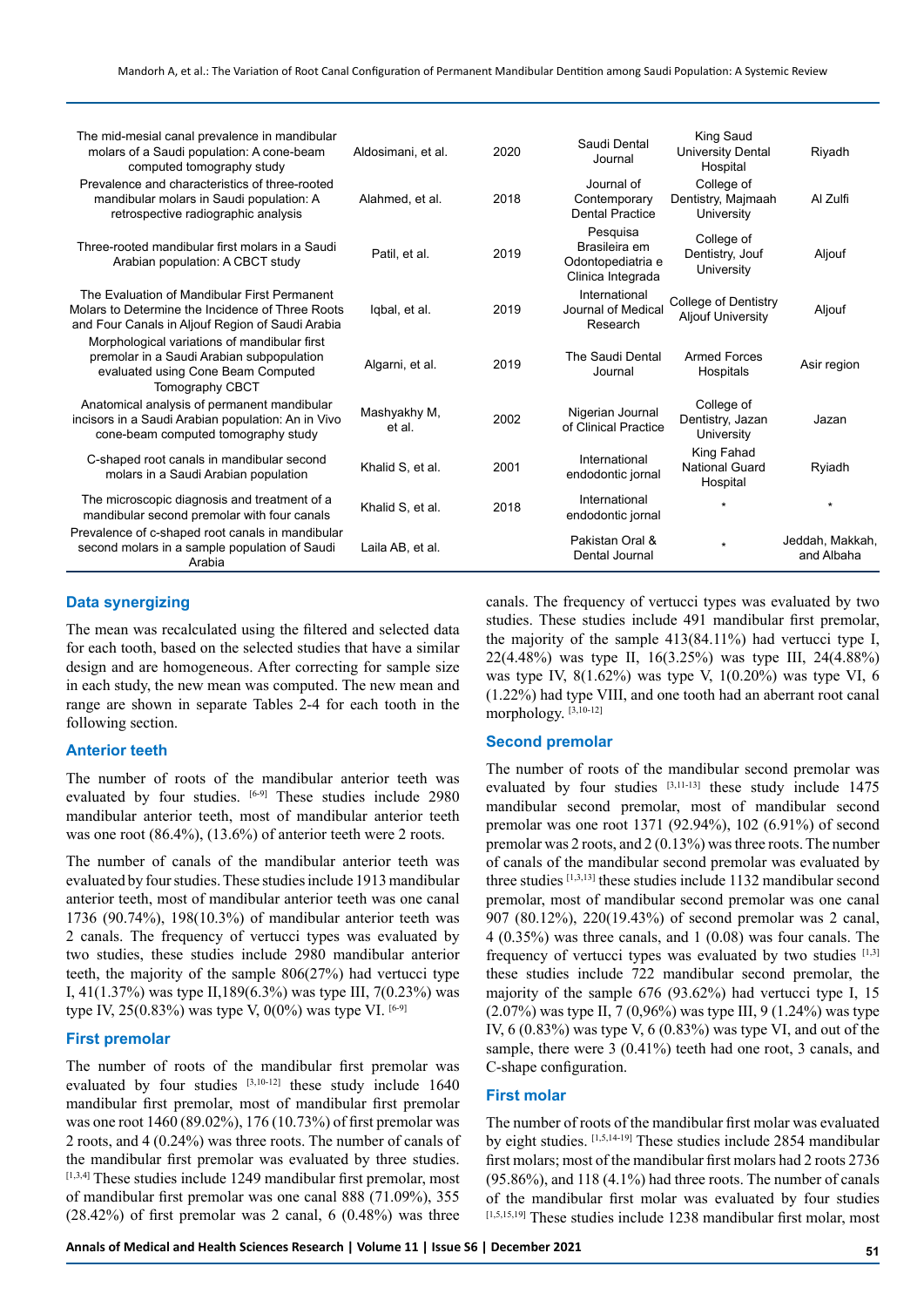| The mid-mesial canal prevalence in mandibular<br>molars of a Saudi population: A cone-beam<br>computed tomography study                                   | Aldosimani, et al.     | 2020 | Saudi Dental<br>Journal                                             | King Saud<br>University Dental<br>Hospital       | Riyadh                        |
|-----------------------------------------------------------------------------------------------------------------------------------------------------------|------------------------|------|---------------------------------------------------------------------|--------------------------------------------------|-------------------------------|
| Prevalence and characteristics of three-rooted<br>mandibular molars in Saudi population: A<br>retrospective radiographic analysis                         | Alahmed, et al.        | 2018 | Journal of<br>Contemporary<br><b>Dental Practice</b>                | College of<br>Dentistry, Majmaah<br>University   | Al Zulfi                      |
| Three-rooted mandibular first molars in a Saudi<br>Arabian population: A CBCT study                                                                       | Patil. et al.          | 2019 | Pesquisa<br>Brasileira em<br>Odontopediatria e<br>Clinica Integrada | College of<br>Dentistry, Jouf<br>University      | Aljouf                        |
| The Evaluation of Mandibular First Permanent<br>Molars to Determine the Incidence of Three Roots<br>and Four Canals in Aljouf Region of Saudi Arabia      | Igbal, et al.          | 2019 | International<br>Journal of Medical<br>Research                     | College of Dentistry<br><b>Aljouf University</b> | Aljouf                        |
| Morphological variations of mandibular first<br>premolar in a Saudi Arabian subpopulation<br>evaluated using Cone Beam Computed<br><b>Tomography CBCT</b> | Algarni, et al.        | 2019 | The Saudi Dental<br>Journal                                         | <b>Armed Forces</b><br>Hospitals                 | Asir region                   |
| Anatomical analysis of permanent mandibular<br>incisors in a Saudi Arabian population: An in Vivo<br>cone-beam computed tomography study                  | Mashyakhy M,<br>et al. | 2002 | Nigerian Journal<br>of Clinical Practice                            | College of<br>Dentistry, Jazan<br>University     | Jazan                         |
| C-shaped root canals in mandibular second<br>molars in a Saudi Arabian population                                                                         | Khalid S, et al.       | 2001 | International<br>endodontic jornal                                  | King Fahad<br><b>National Guard</b><br>Hospital  | Ryiadh                        |
| The microscopic diagnosis and treatment of a<br>mandibular second premolar with four canals                                                               | Khalid S, et al.       | 2018 | International<br>endodontic jornal                                  | ÷                                                | $\star$                       |
| Prevalence of c-shaped root canals in mandibular<br>second molars in a sample population of Saudi<br>Arabia                                               | Laila AB, et al.       |      | Pakistan Oral &<br>Dental Journal                                   | $\star$                                          | Jeddah, Makkah,<br>and Albaha |

## **Data synergizing**

The mean was recalculated using the filtered and selected data for each tooth, based on the selected studies that have a similar design and are homogeneous. After correcting for sample size in each study, the new mean was computed. The new mean and range are shown in separate Tables 2-4 for each tooth in the following section.

#### **Anterior teeth**

The number of roots of the mandibular anterior teeth was evaluated by four studies.  $[6-9]$  These studies include 2980 mandibular anterior teeth, most of mandibular anterior teeth was one root  $(86.4\%)$ ,  $(13.6\%)$  of anterior teeth were 2 roots.

The number of canals of the mandibular anterior teeth was evaluated by four studies. These studies include 1913 mandibular anterior teeth, most of mandibular anterior teeth was one canal 1736 (90.74%), 198(10.3%) of mandibular anterior teeth was 2 canals. The frequency of vertucci types was evaluated by two studies, these studies include 2980 mandibular anterior teeth, the majority of the sample 806(27%) had vertucci type I, 41(1.37%) was type II,189(6.3%) was type III, 7(0.23%) was type IV, 25(0.83%) was type V, 0(0%) was type VI. [6-9]

## **First premolar**

The number of roots of the mandibular first premolar was evaluated by four studies [3,10-12] these study include 1640 mandibular first premolar, most of mandibular first premolar was one root 1460 (89.02%), 176 (10.73%) of first premolar was 2 roots, and 4 (0.24%) was three roots. The number of canals of the mandibular first premolar was evaluated by three studies. [1,3,4] These studies include 1249 mandibular first premolar, most of mandibular first premolar was one canal 888 (71.09%), 355  $(28.42\%)$  of first premolar was 2 canal,  $6(0.48\%)$  was three

canals. The frequency of vertucci types was evaluated by two studies. These studies include 491 mandibular first premolar, the majority of the sample 413(84.11%) had vertucci type I, 22(4.48%) was type II, 16(3.25%) was type III, 24(4.88%) was type IV,  $8(1.62\%)$  was type V,  $1(0.20\%)$  was type VI, 6 (1.22%) had type VIII, and one tooth had an aberrant root canal morphology. [3,10-12]

#### **Second premolar**

The number of roots of the mandibular second premolar was evaluated by four studies [3,11-13] these study include 1475 mandibular second premolar, most of mandibular second premolar was one root 1371 (92.94%), 102 (6.91%) of second premolar was 2 roots, and 2 (0.13%) was three roots. The number of canals of the mandibular second premolar was evaluated by three studies [1,3,13] these studies include 1132 mandibular second premolar, most of mandibular second premolar was one canal 907 (80.12%), 220(19.43%) of second premolar was 2 canal, 4 (0.35%) was three canals, and 1 (0.08) was four canals. The frequency of vertucci types was evaluated by two studies  $[1,3]$ these studies include 722 mandibular second premolar, the majority of the sample 676 (93.62%) had vertucci type I, 15 (2.07%) was type II, 7 (0,96%) was type III, 9 (1.24%) was type IV, 6 (0.83%) was type V, 6 (0.83%) was type VI, and out of the sample, there were 3 (0.41%) teeth had one root, 3 canals, and C-shape configuration.

#### **First molar**

The number of roots of the mandibular first molar was evaluated by eight studies. [1,5,14-19] These studies include 2854 mandibular first molars; most of the mandibular first molars had 2 roots 2736 (95.86%), and 118 (4.1%) had three roots. The number of canals of the mandibular first molar was evaluated by four studies  $[1,5,15,19]$  These studies include 1238 mandibular first molar, most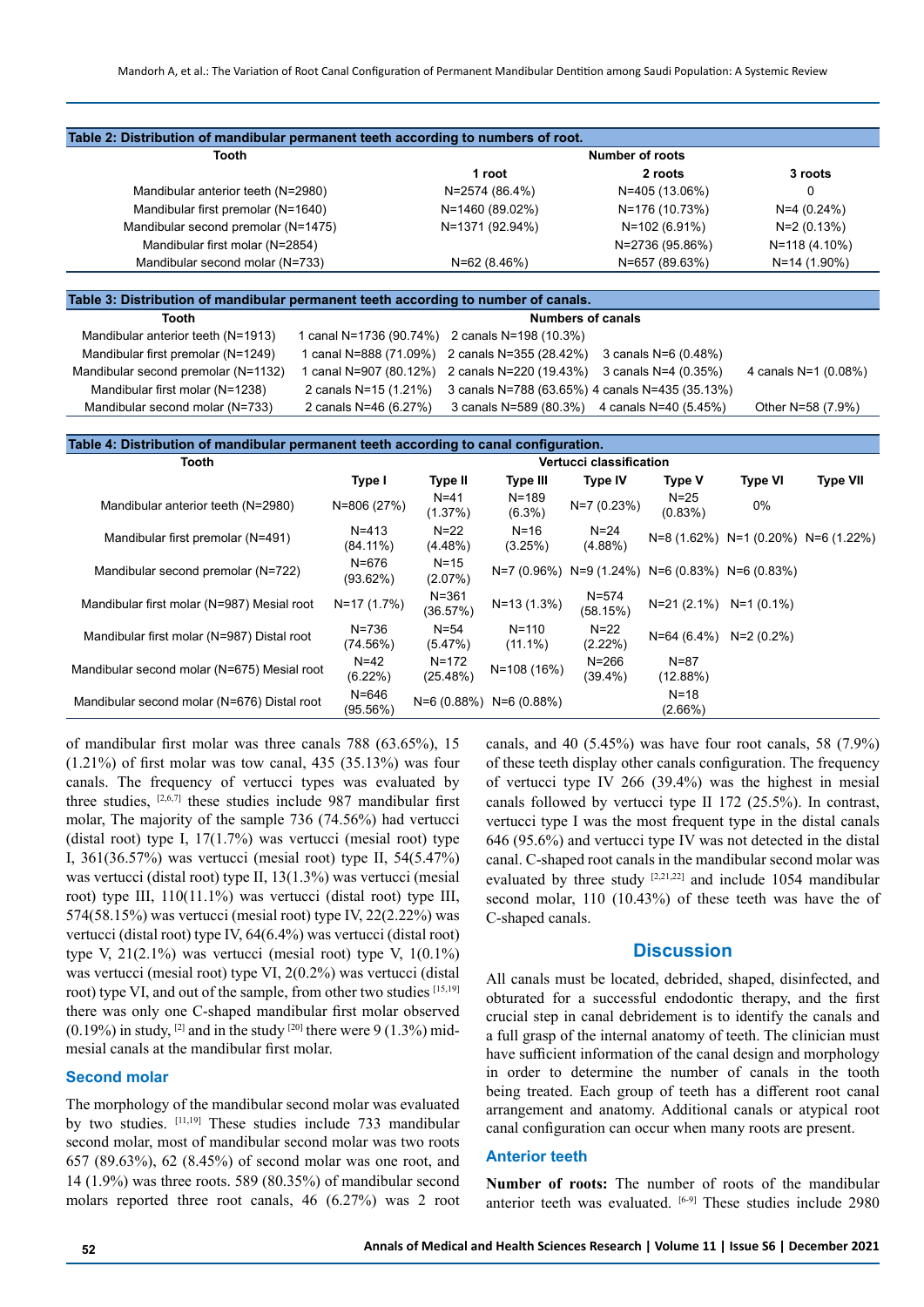| Tooth                               | Number of roots |                 |               |  |  |
|-------------------------------------|-----------------|-----------------|---------------|--|--|
|                                     | 1 root          | 2 roots         | 3 roots       |  |  |
| Mandibular anterior teeth (N=2980)  | N=2574 (86.4%)  | N=405 (13.06%)  | 0             |  |  |
| Mandibular first premolar (N=1640)  | N=1460 (89.02%) | N=176 (10.73%)  | $N=4(0.24%)$  |  |  |
| Mandibular second premolar (N=1475) | N=1371 (92.94%) | N=102 (6.91%)   | N=2 (0.13%)   |  |  |
| Mandibular first molar (N=2854)     |                 | N=2736 (95.86%) | N=118 (4.10%) |  |  |
| Mandibular second molar (N=733)     | $N=62(8.46%)$   | N=657 (89.63%)  | N=14 (1.90%)  |  |  |

| Table 3: Distribution of mandibular permanent teeth according to number of canals. |                          |                                                                     |  |                      |  |  |
|------------------------------------------------------------------------------------|--------------------------|---------------------------------------------------------------------|--|----------------------|--|--|
| <b>Tooth</b>                                                                       | <b>Numbers of canals</b> |                                                                     |  |                      |  |  |
| Mandibular anterior teeth (N=1913)                                                 |                          | 1 canal N=1736 (90.74%) 2 canals N=198 (10.3%)                      |  |                      |  |  |
| Mandibular first premolar (N=1249)                                                 |                          | 1 canal N=888 (71.09%) 2 canals N=355 (28.42%) 3 canals N=6 (0.48%) |  |                      |  |  |
| Mandibular second premolar (N=1132)                                                |                          | canal N=907 (80.12%) 2 canals N=220 (19.43%) 3 canals N=4 (0.35%)   |  | 4 canals N=1 (0.08%) |  |  |
| Mandibular first molar (N=1238)                                                    | 2 canals N=15 (1.21%)    | 3 canals N=788 (63.65%) 4 canals N=435 (35.13%)                     |  |                      |  |  |
| Mandibular second molar (N=733)                                                    | 2 canals N=46 (6.27%)    | 3 canals N=589 (80.3%) 4 canals N=40 (5.45%)                        |  | Other N=58 (7.9%)    |  |  |

| Table 4: Distribution of mandibular permanent teeth according to canal configuration. |                          |                         |                           |                                                         |                        |                           |                 |  |
|---------------------------------------------------------------------------------------|--------------------------|-------------------------|---------------------------|---------------------------------------------------------|------------------------|---------------------------|-----------------|--|
| Tooth                                                                                 |                          | Vertucci classification |                           |                                                         |                        |                           |                 |  |
|                                                                                       | Type I                   | Type II                 | Type III                  | <b>Type IV</b>                                          | <b>Type V</b>          | <b>Type VI</b>            | <b>Type VII</b> |  |
| Mandibular anterior teeth (N=2980)                                                    | N=806 (27%)              | $N = 41$<br>(1.37%)     | $N = 189$<br>$(6.3\%)$    | $N=7(0.23%)$                                            | $N=25$<br>(0.83%)      | $0\%$                     |                 |  |
| Mandibular first premolar (N=491)                                                     | $N = 413$<br>$(84.11\%)$ | $N = 22$<br>$(4.48\%)$  | $N = 16$<br>(3.25%)       | $N = 24$<br>$(4.88\%)$                                  |                        | $N=8(1.62\%) N=1(0.20\%)$ | N=6 (1.22%)     |  |
| Mandibular second premolar (N=722)                                                    | N=676<br>(93.62%)        | $N = 15$<br>(2.07%)     |                           | $N=7$ (0.96%) $N=9$ (1.24%) $N=6$ (0.83%) $N=6$ (0.83%) |                        |                           |                 |  |
| Mandibular first molar (N=987) Mesial root                                            | N=17 (1.7%)              | $N = 361$<br>(36.57%)   | $N=13(1.3%)$              | $N = 574$<br>(58.15%)                                   |                        | $N=21(2.1\%) N=1(0.1\%)$  |                 |  |
| Mandibular first molar (N=987) Distal root                                            | N=736<br>(74.56%)        | $N = 54$<br>(5.47%)     | $N = 110$<br>$(11.1\%)$   | $N=22$<br>(2.22%)                                       | $N=64(6.4%)$           | $N=2(0.2\%)$              |                 |  |
| Mandibular second molar (N=675) Mesial root                                           | $N=42$<br>$(6.22\%)$     | $N = 172$<br>(25.48%)   | N=108 (16%)               | $N = 266$<br>$(39.4\%)$                                 | $N = 87$<br>(12.88%)   |                           |                 |  |
| Mandibular second molar (N=676) Distal root                                           | N=646<br>(95.56%)        |                         | $N=6(0.88\%) N=6(0.88\%)$ |                                                         | $N = 18$<br>$(2.66\%)$ |                           |                 |  |

of mandibular first molar was three canals 788 (63.65%), 15  $(1.21\%)$  of first molar was tow canal, 435 (35.13%) was four canals. The frequency of vertucci types was evaluated by three studies, [2,6,7] these studies include 987 mandibular first molar, The majority of the sample 736 (74.56%) had vertucci (distal root) type I, 17(1.7%) was vertucci (mesial root) type I, 361(36.57%) was vertucci (mesial root) type II, 54(5.47%) was vertucci (distal root) type II, 13(1.3%) was vertucci (mesial root) type III, 110(11.1%) was vertucci (distal root) type III, 574(58.15%) was vertucci (mesial root) type IV, 22(2.22%) was vertucci (distal root) type IV, 64(6.4%) was vertucci (distal root) type V,  $21(2.1\%)$  was vertucci (mesial root) type V,  $1(0.1\%)$ was vertucci (mesial root) type VI, 2(0.2%) was vertucci (distal root) type VI, and out of the sample, from other two studies [15,19] there was only one C-shaped mandibular first molar observed  $(0.19\%)$  in study, <sup>[2]</sup> and in the study <sup>[20]</sup> there were 9 (1.3%) midmesial canals at the mandibular first molar.

#### **Second molar**

The morphology of the mandibular second molar was evaluated by two studies. [11,19] These studies include 733 mandibular second molar, most of mandibular second molar was two roots 657 (89.63%), 62 (8.45%) of second molar was one root, and 14 (1.9%) was three roots. 589 (80.35%) of mandibular second molars reported three root canals, 46 (6.27%) was 2 root canals, and 40 (5.45%) was have four root canals, 58 (7.9%) of these teeth display other canals configuration. The frequency of vertucci type IV 266 (39.4%) was the highest in mesial canals followed by vertucci type II 172 (25.5%). In contrast, vertucci type I was the most frequent type in the distal canals 646 (95.6%) and vertucci type IV was not detected in the distal canal. C-shaped root canals in the mandibular second molar was evaluated by three study  $[2,21,22]$  and include 1054 mandibular second molar, 110 (10.43%) of these teeth was have the of C-shaped canals.

# **Discussion**

All canals must be located, debrided, shaped, disinfected, and obturated for a successful endodontic therapy, and the first crucial step in canal debridement is to identify the canals and a full grasp of the internal anatomy of teeth. The clinician must have sufficient information of the canal design and morphology in order to determine the number of canals in the tooth being treated. Each group of teeth has a different root canal arrangement and anatomy. Additional canals or atypical root canal configuration can occur when many roots are present.

## **Anterior teeth**

**Number of roots:** The number of roots of the mandibular anterior teeth was evaluated. [6-9] These studies include 2980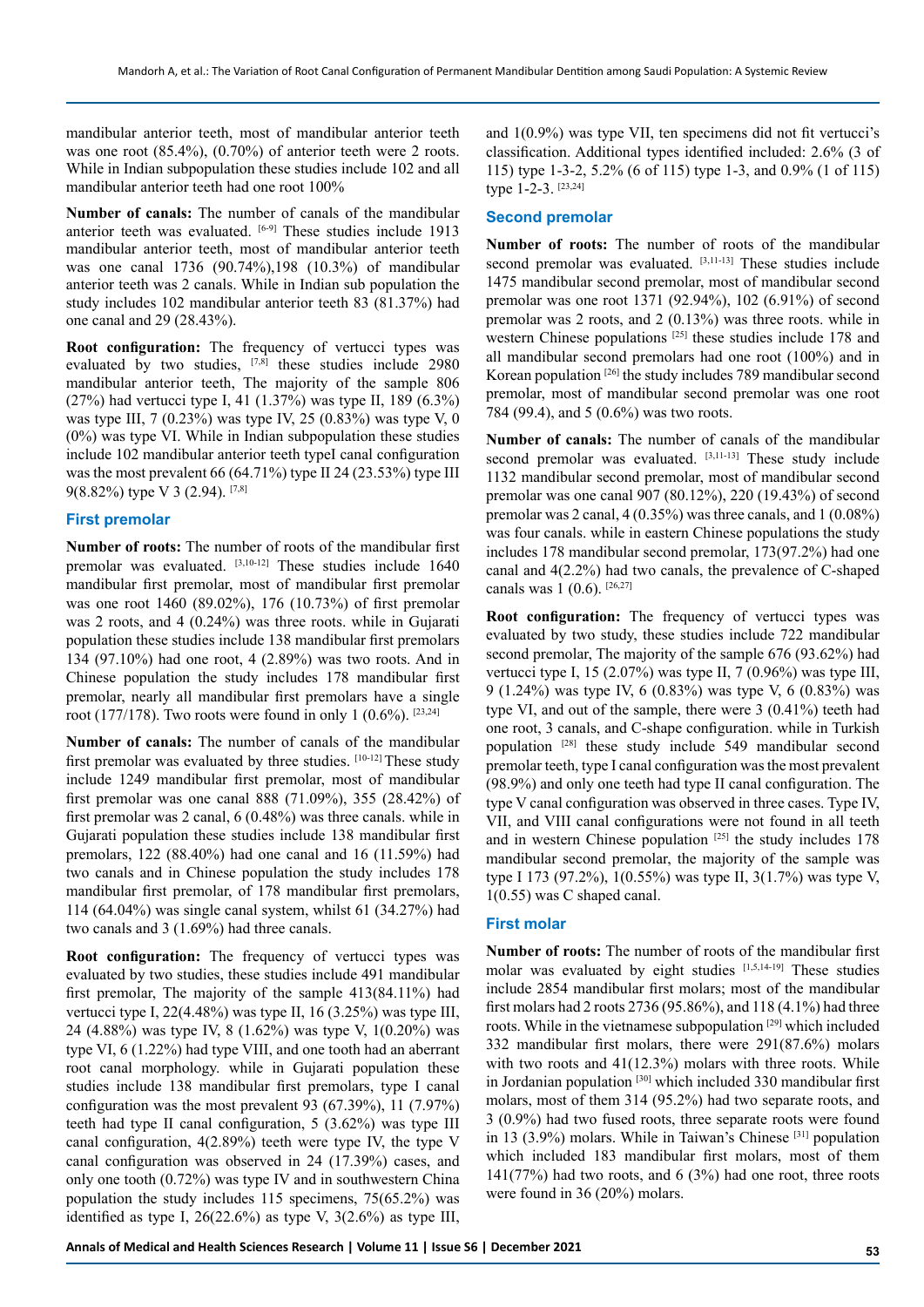mandibular anterior teeth, most of mandibular anterior teeth was one root (85.4%), (0.70%) of anterior teeth were 2 roots. While in Indian subpopulation these studies include 102 and all mandibular anterior teeth had one root 100%

**Number of canals:** The number of canals of the mandibular anterior teeth was evaluated. [6-9] These studies include 1913 mandibular anterior teeth, most of mandibular anterior teeth was one canal 1736 (90.74%),198 (10.3%) of mandibular anterior teeth was 2 canals. While in Indian sub population the study includes 102 mandibular anterior teeth 83 (81.37%) had one canal and 29 (28.43%).

**Root configuration:** The frequency of vertucci types was evaluated by two studies, <a>[7,8]</a> these studies include 2980 mandibular anterior teeth, The majority of the sample 806 (27%) had vertucci type I, 41 (1.37%) was type II, 189 (6.3%) was type III, 7 (0.23%) was type IV, 25 (0.83%) was type V, 0 (0%) was type VI. While in Indian subpopulation these studies include 102 mandibular anterior teeth typeI canal configuration was the most prevalent 66 (64.71%) type II 24 (23.53%) type III 9(8.82%) type V 3 (2.94).  $[7,8]$ 

#### **First premolar**

**Number of roots:** The number of roots of the mandibular first premolar was evaluated. [3,10-12] These studies include 1640 mandibular first premolar, most of mandibular first premolar was one root 1460 (89.02%), 176 (10.73%) of first premolar was 2 roots, and 4 (0.24%) was three roots. while in Gujarati population these studies include 138 mandibular first premolars 134 (97.10%) had one root, 4 (2.89%) was two roots. And in Chinese population the study includes 178 mandibular first premolar, nearly all mandibular first premolars have a single root (177/178). Two roots were found in only 1 (0.6%).  $[23,24]$ 

**Number of canals:** The number of canals of the mandibular first premolar was evaluated by three studies. [10-12] These study include 1249 mandibular first premolar, most of mandibular first premolar was one canal 888 (71.09%), 355 (28.42%) of first premolar was 2 canal, 6 (0.48%) was three canals. while in Gujarati population these studies include 138 mandibular first premolars, 122 (88.40%) had one canal and 16 (11.59%) had two canals and in Chinese population the study includes 178 mandibular first premolar, of 178 mandibular first premolars, 114 (64.04%) was single canal system, whilst 61 (34.27%) had two canals and 3 (1.69%) had three canals.

**Root configuration:** The frequency of vertucci types was evaluated by two studies, these studies include 491 mandibular first premolar, The majority of the sample 413(84.11%) had vertucci type I, 22(4.48%) was type II, 16 (3.25%) was type III, 24 (4.88%) was type IV, 8 (1.62%) was type V, 1(0.20%) was type VI, 6 (1.22%) had type VIII, and one tooth had an aberrant root canal morphology. while in Gujarati population these studies include 138 mandibular first premolars, type I canal configuration was the most prevalent 93 (67.39%), 11 (7.97%) teeth had type II canal configuration, 5 (3.62%) was type III canal configuration, 4(2.89%) teeth were type IV, the type V canal configuration was observed in 24 (17.39%) cases, and only one tooth (0.72%) was type IV and in southwestern China population the study includes 115 specimens, 75(65.2%) was identified as type I,  $26(22.6%)$  as type V,  $3(2.6%)$  as type III,

and 1(0.9%) was type VII, ten specimens did not fit vertucci's classification. Additional types identified included: 2.6% (3 of 115) type 1-3-2, 5.2% (6 of 115) type 1-3, and 0.9% (1 of 115) type 1-2-3. [23,24]

#### **Second premolar**

**Number of roots:** The number of roots of the mandibular second premolar was evaluated. [3,11-13] These studies include 1475 mandibular second premolar, most of mandibular second premolar was one root 1371 (92.94%), 102 (6.91%) of second premolar was 2 roots, and 2 (0.13%) was three roots. while in western Chinese populations<sup>[25]</sup> these studies include 178 and all mandibular second premolars had one root (100%) and in Korean population [26] the study includes 789 mandibular second premolar, most of mandibular second premolar was one root 784 (99.4), and 5 (0.6%) was two roots.

**Number of canals:** The number of canals of the mandibular second premolar was evaluated. [3,11-13] These study include 1132 mandibular second premolar, most of mandibular second premolar was one canal 907 (80.12%), 220 (19.43%) of second premolar was 2 canal, 4 (0.35%) was three canals, and 1 (0.08%) was four canals. while in eastern Chinese populations the study includes 178 mandibular second premolar, 173(97.2%) had one canal and 4(2.2%) had two canals, the prevalence of C-shaped canals was  $1 (0.6)$ . [26,27]

**Root configuration:** The frequency of vertucci types was evaluated by two study, these studies include 722 mandibular second premolar, The majority of the sample 676 (93.62%) had vertucci type I, 15 (2.07%) was type II, 7 (0.96%) was type III, 9 (1.24%) was type IV, 6 (0.83%) was type V, 6 (0.83%) was type VI, and out of the sample, there were 3 (0.41%) teeth had one root, 3 canals, and C-shape configuration. while in Turkish population [28] these study include 549 mandibular second premolar teeth, type I canal configuration was the most prevalent (98.9%) and only one teeth had type II canal configuration. The type V canal configuration was observed in three cases. Type IV, VII, and VIII canal configurations were not found in all teeth and in western Chinese population  $[25]$  the study includes 178 mandibular second premolar, the majority of the sample was type I 173 (97.2%), 1(0.55%) was type II, 3(1.7%) was type V, 1(0.55) was C shaped canal.

## **First molar**

**Number of roots:** The number of roots of the mandibular first molar was evaluated by eight studies [1,5,14-19] These studies include 2854 mandibular first molars; most of the mandibular first molars had 2 roots 2736 (95.86%), and 118 (4.1%) had three roots. While in the vietnamese subpopulation [29] which included 332 mandibular first molars, there were 291(87.6%) molars with two roots and 41(12.3%) molars with three roots. While in Jordanian population [30] which included 330 mandibular first molars, most of them 314 (95.2%) had two separate roots, and 3 (0.9%) had two fused roots, three separate roots were found in 13 (3.9%) molars. While in Taiwan's Chinese [31] population which included 183 mandibular first molars, most of them 141(77%) had two roots, and 6 (3%) had one root, three roots were found in 36 (20%) molars.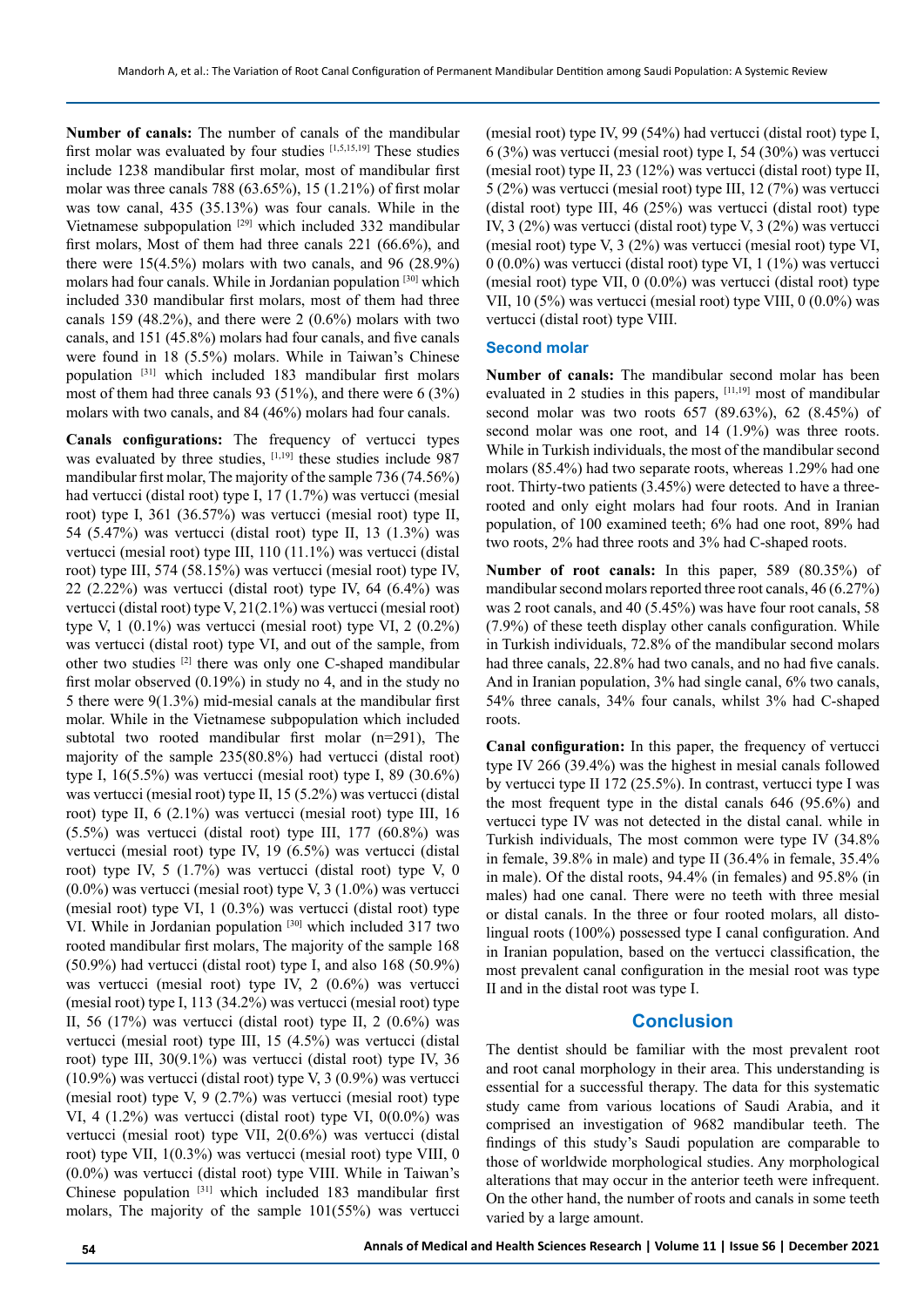**Number of canals:** The number of canals of the mandibular first molar was evaluated by four studies [1,5,15,19] These studies include 1238 mandibular first molar, most of mandibular first molar was three canals 788 (63.65%), 15 (1.21%) of first molar was tow canal, 435 (35.13%) was four canals. While in the Vietnamese subpopulation<sup>[29]</sup> which included 332 mandibular first molars, Most of them had three canals 221 (66.6%), and there were 15(4.5%) molars with two canals, and 96 (28.9%) molars had four canals. While in Jordanian population [30] which included 330 mandibular first molars, most of them had three canals 159 (48.2%), and there were 2 (0.6%) molars with two canals, and 151 (45.8%) molars had four canals, and five canals were found in 18 (5.5%) molars. While in Taiwan's Chinese population [31] which included 183 mandibular first molars most of them had three canals 93 (51%), and there were 6 (3%) molars with two canals, and 84 (46%) molars had four canals.

**Canals configurations:** The frequency of vertucci types was evaluated by three studies, [1,19] these studies include 987 mandibular first molar, The majority of the sample 736 (74.56%) had vertucci (distal root) type I, 17 (1.7%) was vertucci (mesial root) type I, 361 (36.57%) was vertucci (mesial root) type II, 54 (5.47%) was vertucci (distal root) type II, 13 (1.3%) was vertucci (mesial root) type III, 110 (11.1%) was vertucci (distal root) type III, 574 (58.15%) was vertucci (mesial root) type IV, 22 (2.22%) was vertucci (distal root) type IV, 64 (6.4%) was vertucci (distal root) type V, 21(2.1%) was vertucci (mesial root) type V, 1 (0.1%) was vertucci (mesial root) type VI, 2 (0.2%) was vertucci (distal root) type VI, and out of the sample, from other two studies [2] there was only one C-shaped mandibular first molar observed (0.19%) in study no 4, and in the study no 5 there were 9(1.3%) mid-mesial canals at the mandibular first molar. While in the Vietnamese subpopulation which included subtotal two rooted mandibular first molar (n=291), The majority of the sample 235(80.8%) had vertucci (distal root) type I, 16(5.5%) was vertucci (mesial root) type I, 89 (30.6%) was vertucci (mesial root) type II, 15 (5.2%) was vertucci (distal root) type II, 6 (2.1%) was vertucci (mesial root) type III, 16 (5.5%) was vertucci (distal root) type III, 177 (60.8%) was vertucci (mesial root) type IV, 19 (6.5%) was vertucci (distal root) type IV, 5 (1.7%) was vertucci (distal root) type V, 0 (0.0%) was vertucci (mesial root) type V, 3 (1.0%) was vertucci (mesial root) type VI, 1 (0.3%) was vertucci (distal root) type VI. While in Jordanian population [30] which included 317 two rooted mandibular first molars, The majority of the sample 168 (50.9%) had vertucci (distal root) type I, and also 168 (50.9%) was vertucci (mesial root) type IV, 2 (0.6%) was vertucci (mesial root) type I, 113 (34.2%) was vertucci (mesial root) type II, 56 (17%) was vertucci (distal root) type II, 2 (0.6%) was vertucci (mesial root) type III, 15 (4.5%) was vertucci (distal root) type III, 30(9.1%) was vertucci (distal root) type IV, 36 (10.9%) was vertucci (distal root) type V, 3 (0.9%) was vertucci (mesial root) type V, 9 (2.7%) was vertucci (mesial root) type VI, 4 (1.2%) was vertucci (distal root) type VI, 0(0.0%) was vertucci (mesial root) type VII, 2(0.6%) was vertucci (distal root) type VII, 1(0.3%) was vertucci (mesial root) type VIII, 0 (0.0%) was vertucci (distal root) type VIII. While in Taiwan's Chinese population [31] which included 183 mandibular first molars, The majority of the sample 101(55%) was vertucci

(mesial root) type IV, 99 (54%) had vertucci (distal root) type I, 6 (3%) was vertucci (mesial root) type I, 54 (30%) was vertucci (mesial root) type II, 23 (12%) was vertucci (distal root) type II, 5 (2%) was vertucci (mesial root) type III, 12 (7%) was vertucci (distal root) type III, 46 (25%) was vertucci (distal root) type IV, 3 (2%) was vertucci (distal root) type V, 3 (2%) was vertucci (mesial root) type V, 3 (2%) was vertucci (mesial root) type VI, 0 (0.0%) was vertucci (distal root) type VI, 1 (1%) was vertucci (mesial root) type VII, 0 (0.0%) was vertucci (distal root) type VII, 10 (5%) was vertucci (mesial root) type VIII, 0 (0.0%) was vertucci (distal root) type VIII.

#### **Second molar**

**Number of canals:** The mandibular second molar has been evaluated in 2 studies in this papers, [11,19] most of mandibular second molar was two roots 657 (89.63%), 62 (8.45%) of second molar was one root, and 14 (1.9%) was three roots. While in Turkish individuals, the most of the mandibular second molars (85.4%) had two separate roots, whereas 1.29% had one root. Thirty-two patients (3.45%) were detected to have a threerooted and only eight molars had four roots. And in Iranian population, of 100 examined teeth; 6% had one root, 89% had two roots, 2% had three roots and 3% had C-shaped roots.

**Number of root canals:** In this paper, 589 (80.35%) of mandibular second molars reported three root canals, 46 (6.27%) was 2 root canals, and 40 (5.45%) was have four root canals, 58 (7.9%) of these teeth display other canals configuration. While in Turkish individuals, 72.8% of the mandibular second molars had three canals, 22.8% had two canals, and no had five canals. And in Iranian population, 3% had single canal, 6% two canals, 54% three canals, 34% four canals, whilst 3% had C-shaped roots.

**Canal configuration:** In this paper, the frequency of vertucci type IV 266 (39.4%) was the highest in mesial canals followed by vertucci type II 172 (25.5%). In contrast, vertucci type I was the most frequent type in the distal canals 646 (95.6%) and vertucci type IV was not detected in the distal canal. while in Turkish individuals, The most common were type IV (34.8% in female, 39.8% in male) and type II (36.4% in female, 35.4% in male). Of the distal roots, 94.4% (in females) and 95.8% (in males) had one canal. There were no teeth with three mesial or distal canals. In the three or four rooted molars, all distolingual roots (100%) possessed type I canal configuration. And in Iranian population, based on the vertucci classification, the most prevalent canal configuration in the mesial root was type II and in the distal root was type I.

## **Conclusion**

The dentist should be familiar with the most prevalent root and root canal morphology in their area. This understanding is essential for a successful therapy. The data for this systematic study came from various locations of Saudi Arabia, and it comprised an investigation of 9682 mandibular teeth. The findings of this study's Saudi population are comparable to those of worldwide morphological studies. Any morphological alterations that may occur in the anterior teeth were infrequent. On the other hand, the number of roots and canals in some teeth varied by a large amount.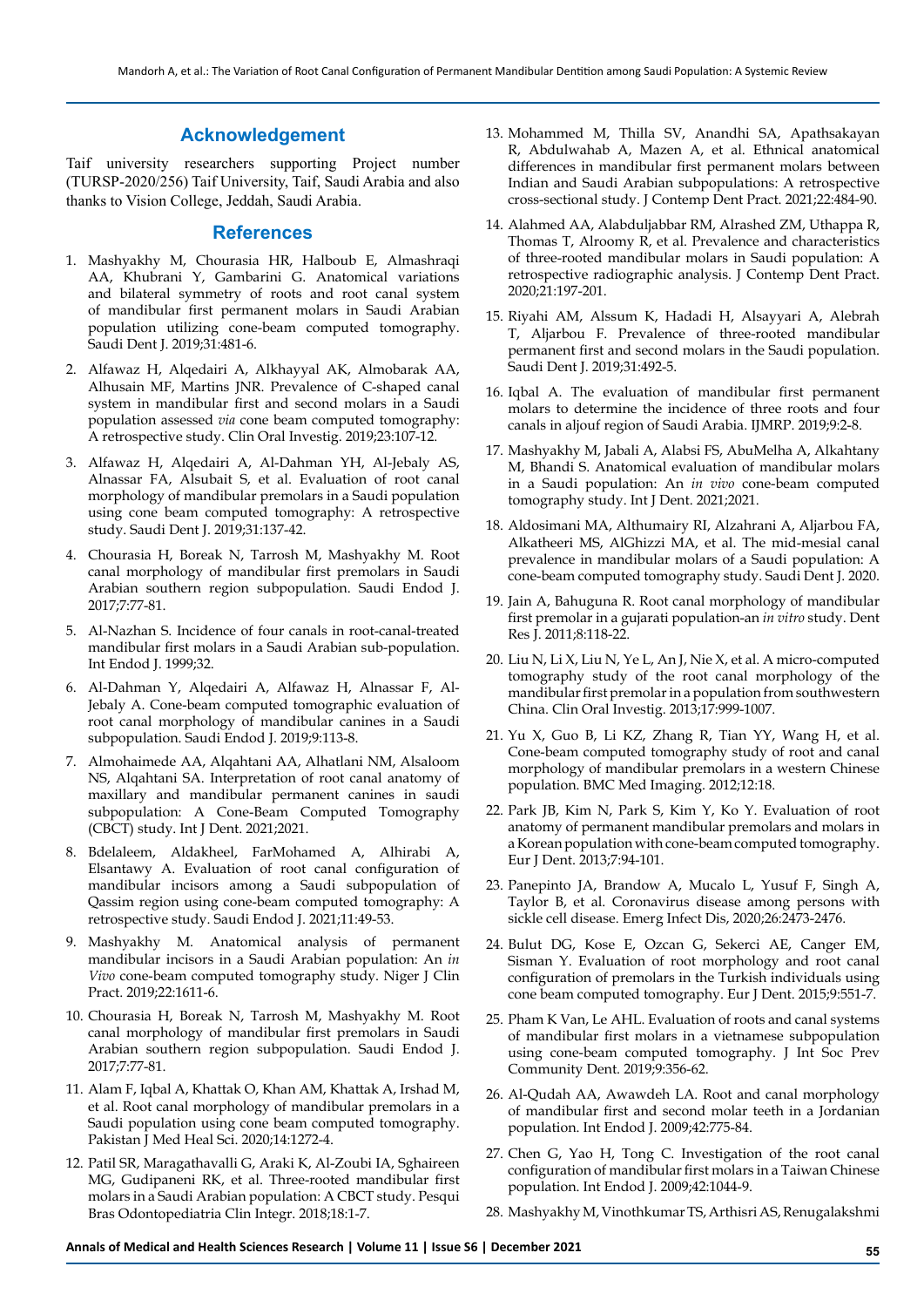## **Acknowledgement**

Taif university researchers supporting Project number (TURSP-2020/256) Taif University, Taif, Saudi Arabia and also thanks to Vision College, Jeddah, Saudi Arabia.

#### **References**

- 1. Mashyakhy M, Chourasia HR, Halboub E, Almashraqi AA, Khubrani Y, Gambarini G. Anatomical variations and bilateral symmetry of roots and root canal system of mandibular first permanent molars in Saudi Arabian population utilizing cone-beam computed tomography. Saudi Dent J. 2019;31:481-6.
- 2. Alfawaz H, Alqedairi A, Alkhayyal AK, Almobarak AA, Alhusain MF, Martins JNR. Prevalence of C-shaped canal system in mandibular first and second molars in a Saudi population assessed *via* cone beam computed tomography: A retrospective study. Clin Oral Investig. 2019;23:107-12.
- 3. Alfawaz H, Alqedairi A, Al-Dahman YH, Al-Jebaly AS, Alnassar FA, Alsubait S, et al. Evaluation of root canal morphology of mandibular premolars in a Saudi population using cone beam computed tomography: A retrospective study. Saudi Dent J. 2019;31:137-42.
- 4. Chourasia H, Boreak N, Tarrosh M, Mashyakhy M. Root canal morphology of mandibular first premolars in Saudi Arabian southern region subpopulation. Saudi Endod J. 2017;7:77-81.
- 5. Al-Nazhan S. Incidence of four canals in root-canal-treated mandibular first molars in a Saudi Arabian sub-population. Int Endod J. 1999;32.
- 6. Al-Dahman Y, Alqedairi A, Alfawaz H, Alnassar F, Al-Jebaly A. Cone-beam computed tomographic evaluation of root canal morphology of mandibular canines in a Saudi subpopulation. Saudi Endod J. 2019;9:113-8.
- 7. Almohaimede AA, Alqahtani AA, Alhatlani NM, Alsaloom NS, Alqahtani SA. Interpretation of root canal anatomy of maxillary and mandibular permanent canines in saudi subpopulation: A Cone-Beam Computed Tomography (CBCT) study. Int J Dent. 2021;2021.
- 8. Bdelaleem, Aldakheel, FarMohamed A, Alhirabi A, Elsantawy A. Evaluation of root canal configuration of mandibular incisors among a Saudi subpopulation of Qassim region using cone-beam computed tomography: A retrospective study. Saudi Endod J. 2021;11:49-53.
- 9. Mashyakhy M. Anatomical analysis of permanent mandibular incisors in a Saudi Arabian population: An *in Vivo* cone-beam computed tomography study. Niger J Clin Pract. 2019;22:1611-6.
- 10. Chourasia H, Boreak N, Tarrosh M, Mashyakhy M. Root canal morphology of mandibular first premolars in Saudi Arabian southern region subpopulation. Saudi Endod J. 2017;7:77-81.
- 11. Alam F, Iqbal A, Khattak O, Khan AM, Khattak A, Irshad M, et al. Root canal morphology of mandibular premolars in a Saudi population using cone beam computed tomography. Pakistan J Med Heal Sci. 2020;14:1272-4.
- 12. Patil SR, Maragathavalli G, Araki K, Al-Zoubi IA, Sghaireen MG, Gudipaneni RK, et al. Three-rooted mandibular first molars in a Saudi Arabian population: A CBCT study. Pesqui Bras Odontopediatria Clin Integr. 2018;18:1-7.
- 13. Mohammed M, Thilla SV, Anandhi SA, Apathsakayan R, Abdulwahab A, Mazen A, et al. Ethnical anatomical differences in mandibular first permanent molars between Indian and Saudi Arabian subpopulations: A retrospective cross-sectional study. J Contemp Dent Pract. 2021;22:484-90.
- 14. Alahmed AA, Alabduljabbar RM, Alrashed ZM, Uthappa R, Thomas T, Alroomy R, et al. Prevalence and characteristics of three-rooted mandibular molars in Saudi population: A retrospective radiographic analysis. J Contemp Dent Pract. 2020;21:197-201.
- 15. Riyahi AM, Alssum K, Hadadi H, Alsayyari A, Alebrah T, Aljarbou F. Prevalence of three-rooted mandibular permanent first and second molars in the Saudi population. Saudi Dent J. 2019;31:492-5.
- 16. Iqbal A. The evaluation of mandibular first permanent molars to determine the incidence of three roots and four canals in aljouf region of Saudi Arabia. IJMRP. 2019;9:2-8.
- 17. Mashyakhy M, Jabali A, Alabsi FS, AbuMelha A, Alkahtany M, Bhandi S. Anatomical evaluation of mandibular molars in a Saudi population: An *in vivo* cone-beam computed tomography study. Int J Dent. 2021;2021.
- 18. Aldosimani MA, Althumairy RI, Alzahrani A, Aljarbou FA, Alkatheeri MS, AlGhizzi MA, et al. The mid-mesial canal prevalence in mandibular molars of a Saudi population: A cone-beam computed tomography study. Saudi Dent J. 2020.
- 19. Jain A, Bahuguna R. Root canal morphology of mandibular first premolar in a gujarati population-an *in vitro* study. Dent Res J. 2011;8:118-22.
- 20. Liu N, Li X, Liu N, Ye L, An J, Nie X, et al. A micro-computed tomography study of the root canal morphology of the mandibular first premolar in a population from southwestern China. Clin Oral Investig. 2013;17:999-1007.
- 21. Yu X, Guo B, Li KZ, Zhang R, Tian YY, Wang H, et al. Cone-beam computed tomography study of root and canal morphology of mandibular premolars in a western Chinese population. BMC Med Imaging. 2012;12:18.
- 22. Park JB, Kim N, Park S, Kim Y, Ko Y. Evaluation of root anatomy of permanent mandibular premolars and molars in a Korean population with cone-beam computed tomography. Eur J Dent. 2013;7:94-101.
- 23. Panepinto JA, Brandow A, Mucalo L, Yusuf F, Singh A, Taylor B, et al. Coronavirus disease among persons with sickle cell disease. Emerg Infect Dis, 2020;26:2473-2476.
- 24. Bulut DG, Kose E, Ozcan G, Sekerci AE, Canger EM, Sisman Y. Evaluation of root morphology and root canal configuration of premolars in the Turkish individuals using cone beam computed tomography. Eur J Dent. 2015;9:551-7.
- 25. Pham K Van, Le AHL. Evaluation of roots and canal systems of mandibular first molars in a vietnamese subpopulation using cone-beam computed tomography. J Int Soc Prev Community Dent. 2019;9:356-62.
- 26. Al-Qudah AA, Awawdeh LA. Root and canal morphology of mandibular first and second molar teeth in a Jordanian population. Int Endod J. 2009;42:775-84.
- 27. Chen G, Yao H, Tong C. Investigation of the root canal configuration of mandibular first molars in a Taiwan Chinese population. Int Endod J. 2009;42:1044-9.
- 28. Mashyakhy M, Vinothkumar TS, Arthisri AS, Renugalakshmi

**Annals of Medical and Health Sciences Research | Volume 11 | Issue S6 | December 2021 55**